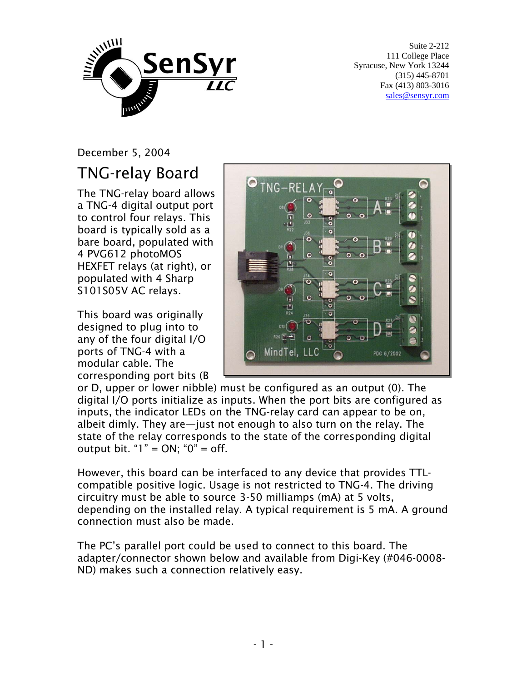

Suite 2-212 111 College Place Syracuse, New York 13244 (315) 445-8701 Fax (413) 803-3016 sales@sensyr.com

December 5, 2004

## TNG-relay Board

The TNG-relay board allows a TNG-4 digital output port to control four relays. This board is typically sold as a bare board, populated with 4 PVG612 photoMOS HEXFET relays (at right), or populated with 4 Sharp S101S05V AC relays.

This board was originally designed to plug into to any of the four digital I/O ports of TNG-4 with a modular cable. The corresponding port bits (B



or D, upper or lower nibble) must be configured as an output (0). The digital I/O ports initialize as inputs. When the port bits are configured as inputs, the indicator LEDs on the TNG-relay card can appear to be on, albeit dimly. They are—just not enough to also turn on the relay. The state of the relay corresponds to the state of the corresponding digital output bit. " $1" = ON$ ; " $0" = off$ .

However, this board can be interfaced to any device that provides TTLcompatible positive logic. Usage is not restricted to TNG-4. The driving circuitry must be able to source 3-50 milliamps (mA) at 5 volts, depending on the installed relay. A typical requirement is 5 mA. A ground connection must also be made.

The PC's parallel port could be used to connect to this board. The adapter/connector shown below and available from Digi-Key (#046-0008- ND) makes such a connection relatively easy.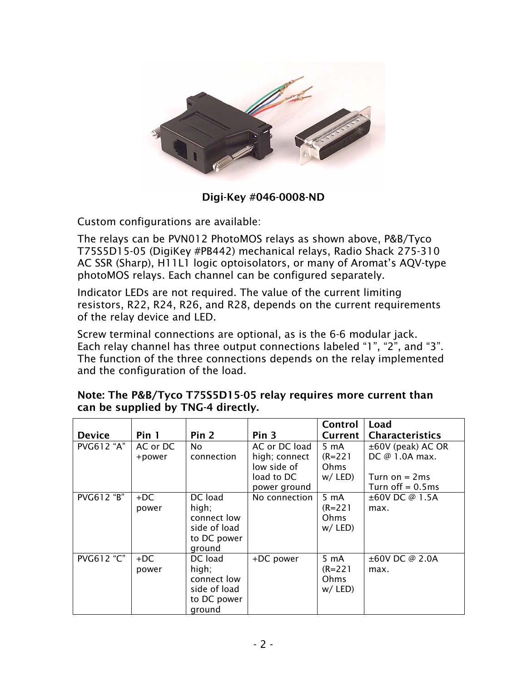

Digi-Key #046-0008-ND

Custom configurations are available:

The relays can be PVN012 PhotoMOS relays as shown above, P&B/Tyco T75S5D15-05 (DigiKey #PB442) mechanical relays, Radio Shack 275-310 AC SSR (Sharp), H11L1 logic optoisolators, or many of Aromat's AQV-type photoMOS relays. Each channel can be configured separately.

Indicator LEDs are not required. The value of the current limiting resistors, R22, R24, R26, and R28, depends on the current requirements of the relay device and LED.

Screw terminal connections are optional, as is the 6-6 modular jack. Each relay channel has three output connections labeled "1", "2", and "3". The function of the three connections depends on the relay implemented and the configuration of the load.

|                   |                    |                                                                          |                                                                             | Control                                             | Load                                                                               |
|-------------------|--------------------|--------------------------------------------------------------------------|-----------------------------------------------------------------------------|-----------------------------------------------------|------------------------------------------------------------------------------------|
| <b>Device</b>     | Pin 1              | Pin <sub>2</sub>                                                         | Pin 3                                                                       | Current                                             | <b>Characteristics</b>                                                             |
| <b>PVG612 "A"</b> | AC or DC<br>+power | No<br>connection                                                         | AC or DC load<br>high; connect<br>low side of<br>load to DC<br>power ground | 5 mA<br>$(R = 221)$<br>Ohms<br>$w /$ LED)           | $\pm 60V$ (peak) AC OR<br>DC @ 1.0A max.<br>Turn on $=$ 2ms<br>Turn off $= 0.5$ ms |
| PVG612 "B"        | $+DC$<br>power     | DC load<br>high;<br>connect low<br>side of load<br>to DC power<br>ground | No connection                                                               | $5 \text{ mA}$<br>$(R = 221)$<br>Ohms<br>$w /$ LED) | $\pm 60V$ DC @ 1.5A<br>max.                                                        |
| <b>PVG612 "C"</b> | $+DC$<br>power     | DC load<br>high;<br>connect low<br>side of load<br>to DC power<br>ground | +DC power                                                                   | 5 mA<br>$(R = 221)$<br>Ohms<br>$w /$ LED)           | $\pm 60V$ DC @ 2.0A<br>max.                                                        |

## Note: The P&B/Tyco T75S5D15-05 relay requires more current than can be supplied by TNG-4 directly.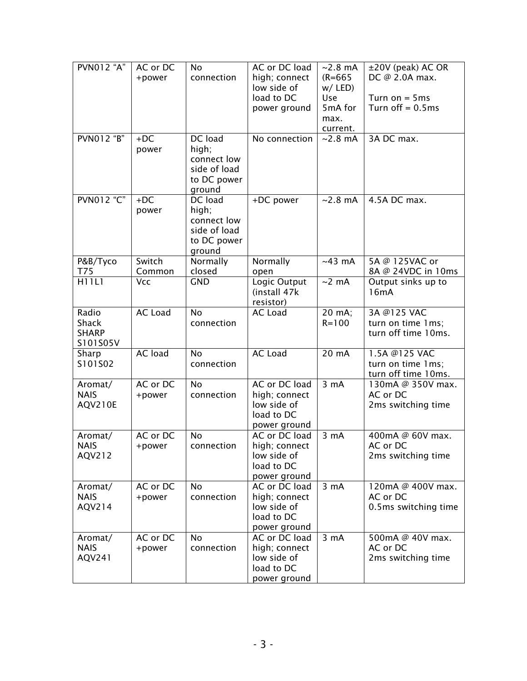| <b>PVN012 "A"</b> | AC or DC       | No           | AC or DC load  | $\sim$ 2.8 mA     | ±20V (peak) AC OR    |
|-------------------|----------------|--------------|----------------|-------------------|----------------------|
|                   | +power         | connection   | high; connect  | $(R = 665)$       | DC @ 2.0A max.       |
|                   |                |              | low side of    | $w /$ LED)        |                      |
|                   |                |              | load to DC     | Use               | Turn on $=$ 5ms      |
|                   |                |              | power ground   | 5mA for           | Turn off $= 0.5$ ms  |
|                   |                |              |                | max.              |                      |
|                   |                |              |                | current.          |                      |
| <b>PVNO12 "B"</b> | $+DC$          | DC load      | No connection  | $~2.8 \text{ mA}$ | 3A DC max.           |
|                   | power          | high;        |                |                   |                      |
|                   |                | connect low  |                |                   |                      |
|                   |                | side of load |                |                   |                      |
|                   |                | to DC power  |                |                   |                      |
|                   |                | ground       |                |                   |                      |
| PVN012 "C"        | $+DC$          | DC load      | +DC power      | $~2.8 \text{ mA}$ | 4.5A DC max.         |
|                   | power          | high;        |                |                   |                      |
|                   |                | connect low  |                |                   |                      |
|                   |                | side of load |                |                   |                      |
|                   |                | to DC power  |                |                   |                      |
|                   |                | ground       |                |                   |                      |
| P&B/Tyco          | Switch         | Normally     | Normally       | $~143$ mA         | 5A @ 125VAC or       |
| T75               | Common         | closed       | open           |                   | 8A @ 24VDC in 10ms   |
| <b>H11L1</b>      | <b>Vcc</b>     | <b>GND</b>   | Logic Output   | $~2$ mA           | Output sinks up to   |
|                   |                |              | (install 47k   |                   | 16mA                 |
|                   |                |              | resistor)      |                   |                      |
| Radio             | <b>AC Load</b> | <b>No</b>    | AC Load        | 20 mA;            | 3A @125 VAC          |
| <b>Shack</b>      |                | connection   |                | $R = 100$         | turn on time 1ms;    |
| <b>SHARP</b>      |                |              |                |                   | turn off time 10ms.  |
| S101S05V          |                |              |                |                   |                      |
| Sharp             | AC load        | <b>No</b>    | <b>AC Load</b> | 20 mA             | 1.5A @125 VAC        |
| S101S02           |                | connection   |                |                   | turn on time 1ms;    |
|                   |                |              |                |                   | turn off time 10ms.  |
| Aromat/           | AC or DC       | <b>No</b>    | AC or DC load  | $3 \text{ mA}$    | 130mA @ 350V max.    |
| <b>NAIS</b>       | +power         | connection   | high; connect  |                   | AC or DC             |
| AQV210E           |                |              | low side of    |                   | 2ms switching time   |
|                   |                |              | load to DC     |                   |                      |
|                   |                |              | power ground   |                   |                      |
| Aromat/           | AC or DC       | <b>No</b>    | AC or DC load  | $3 \text{ mA}$    | 400mA @ 60V max.     |
| <b>NAIS</b>       | +power         | connection   | high; connect  |                   | AC or DC             |
| AQV212            |                |              | low side of    |                   | 2ms switching time   |
|                   |                |              | load to DC     |                   |                      |
|                   |                |              | power ground   |                   |                      |
| Aromat/           | AC or DC       | <b>No</b>    | AC or DC load  | 3 <sub>m</sub> A  | 120mA @ 400V max.    |
| <b>NAIS</b>       | +power         | connection   | high; connect  |                   | AC or DC             |
| AQV214            |                |              | low side of    |                   | 0.5ms switching time |
|                   |                |              | load to DC     |                   |                      |
|                   |                |              | power ground   |                   |                      |
| Aromat/           | AC or DC       | <b>No</b>    | AC or DC load  | 3 <sub>m</sub> A  | 500mA @ 40V max.     |
| <b>NAIS</b>       | +power         | connection   | high; connect  |                   | AC or DC             |
| AQV241            |                |              | low side of    |                   | 2ms switching time   |
|                   |                |              | load to DC     |                   |                      |
|                   |                |              | power ground   |                   |                      |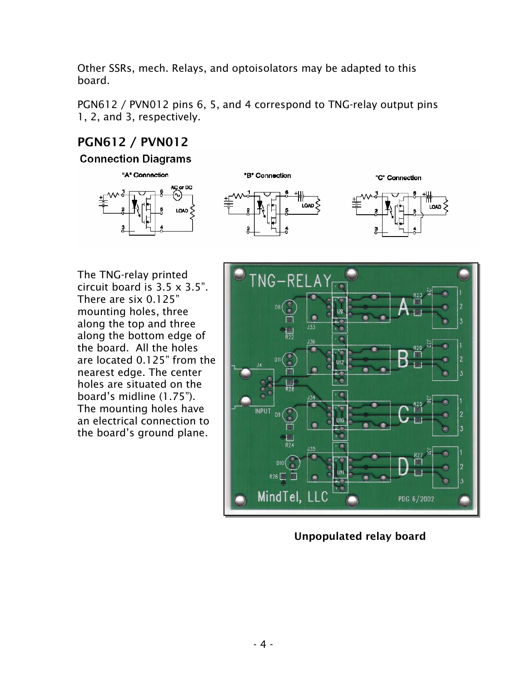Other SSRs, mech. Relays, and optoisolators may be adapted to this board.

PGN612 / PVN012 pins 6, 5, and 4 correspond to TNG-relay output pins 1, 2, and 3, respectively.

## PGN612 / PVN012

**Connection Diagrams** 





The TNG-relay printed circuit board is 3.5 x 3.5". There are six 0.125" mounting holes, three along the top and three along the bottom edge of the board. All the holes are located 0.125" from the nearest edge. The center holes are situated on the board's midline (1.75"). The mounting holes have an electrical connection to the board's ground plane.



Unpopulated relay board